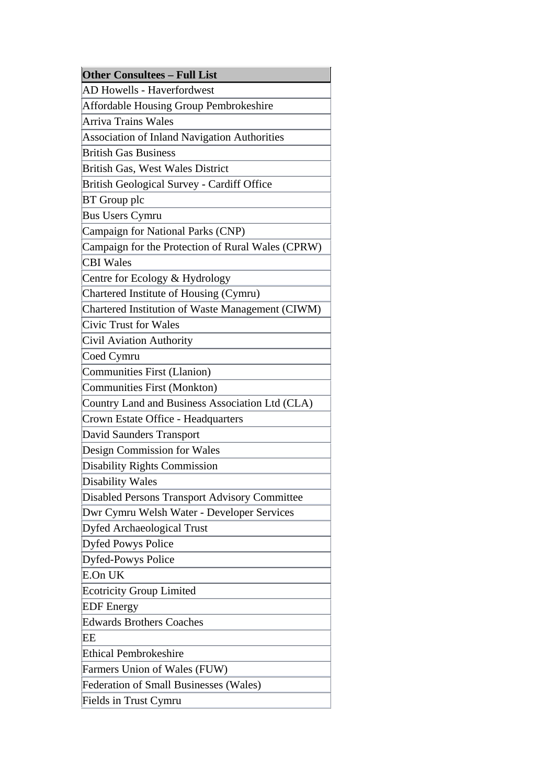|    | <b>Other Consultees - Full List</b>                  |
|----|------------------------------------------------------|
|    | <b>AD Howells - Haverfordwest</b>                    |
|    | <b>Affordable Housing Group Pembrokeshire</b>        |
|    | Arriva Trains Wales                                  |
|    | <b>Association of Inland Navigation Authorities</b>  |
|    | <b>British Gas Business</b>                          |
|    | <b>British Gas, West Wales District</b>              |
|    | <b>British Geological Survey - Cardiff Office</b>    |
|    | <b>BT</b> Group plc                                  |
|    | <b>Bus Users Cymru</b>                               |
|    | Campaign for National Parks (CNP)                    |
|    | Campaign for the Protection of Rural Wales (CPRW)    |
|    | <b>CBI</b> Wales                                     |
|    | Centre for Ecology & Hydrology                       |
|    | Chartered Institute of Housing (Cymru)               |
|    | Chartered Institution of Waste Management (CIWM)     |
|    | <b>Civic Trust for Wales</b>                         |
|    | Civil Aviation Authority                             |
|    | Coed Cymru                                           |
|    | <b>Communities First (Llanion)</b>                   |
|    | <b>Communities First (Monkton)</b>                   |
|    | Country Land and Business Association Ltd (CLA)      |
|    | Crown Estate Office - Headquarters                   |
|    | David Saunders Transport                             |
|    | Design Commission for Wales                          |
|    | <b>Disability Rights Commission</b>                  |
|    | <b>Disability Wales</b>                              |
|    | <b>Disabled Persons Transport Advisory Committee</b> |
|    | Dwr Cymru Welsh Water - Developer Services           |
|    | <b>Dyfed Archaeological Trust</b>                    |
|    | Dyfed Powys Police                                   |
|    | Dyfed-Powys Police                                   |
|    | E.On UK                                              |
|    | <b>Ecotricity Group Limited</b>                      |
|    | <b>EDF</b> Energy                                    |
|    | <b>Edwards Brothers Coaches</b>                      |
| EЕ |                                                      |
|    | <b>Ethical Pembrokeshire</b>                         |
|    | Farmers Union of Wales (FUW)                         |
|    | <b>Federation of Small Businesses (Wales)</b>        |
|    | Fields in Trust Cymru                                |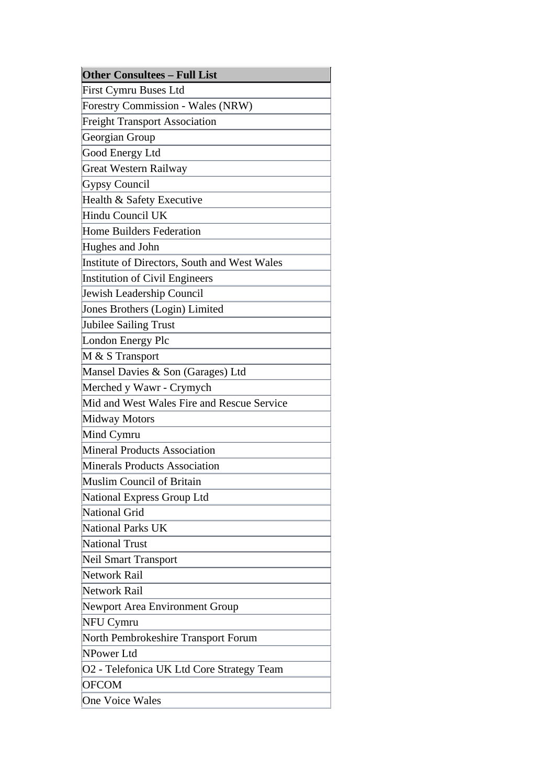| <b>Other Consultees - Full List</b>          |  |  |  |  |
|----------------------------------------------|--|--|--|--|
| First Cymru Buses Ltd                        |  |  |  |  |
| Forestry Commission - Wales (NRW)            |  |  |  |  |
| <b>Freight Transport Association</b>         |  |  |  |  |
| Georgian Group                               |  |  |  |  |
| Good Energy Ltd                              |  |  |  |  |
| <b>Great Western Railway</b>                 |  |  |  |  |
| Gypsy Council                                |  |  |  |  |
| Health & Safety Executive                    |  |  |  |  |
| Hindu Council UK                             |  |  |  |  |
| Home Builders Federation                     |  |  |  |  |
| Hughes and John                              |  |  |  |  |
| Institute of Directors, South and West Wales |  |  |  |  |
| Institution of Civil Engineers               |  |  |  |  |
| Jewish Leadership Council                    |  |  |  |  |
| Jones Brothers (Login) Limited               |  |  |  |  |
| Jubilee Sailing Trust                        |  |  |  |  |
| London Energy Plc                            |  |  |  |  |
| M & S Transport                              |  |  |  |  |
| Mansel Davies & Son (Garages) Ltd            |  |  |  |  |
| Merched y Wawr - Crymych                     |  |  |  |  |
| Mid and West Wales Fire and Rescue Service   |  |  |  |  |
| Midway Motors                                |  |  |  |  |
| Mind Cymru                                   |  |  |  |  |
| <b>Mineral Products Association</b>          |  |  |  |  |
| Minerals Products Association                |  |  |  |  |
| Muslim Council of Britain                    |  |  |  |  |
| National Express Group Ltd                   |  |  |  |  |
| National Grid                                |  |  |  |  |
| National Parks UK                            |  |  |  |  |
| National Trust                               |  |  |  |  |
| Neil Smart Transport                         |  |  |  |  |
| Network Rail                                 |  |  |  |  |
| Network Rail                                 |  |  |  |  |
| Newport Area Environment Group               |  |  |  |  |
| NFU Cymru                                    |  |  |  |  |
| North Pembrokeshire Transport Forum          |  |  |  |  |
| NPower Ltd                                   |  |  |  |  |
| O2 - Telefonica UK Ltd Core Strategy Team    |  |  |  |  |
| <b>OFCOM</b>                                 |  |  |  |  |
| One Voice Wales                              |  |  |  |  |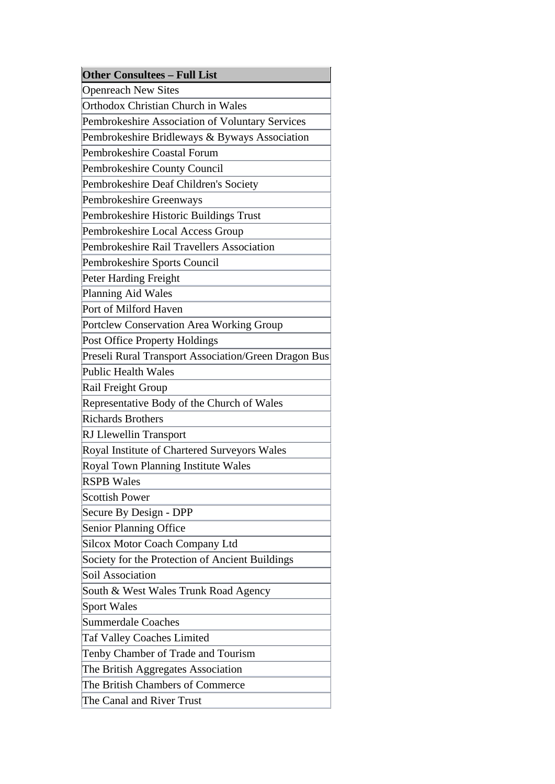| <b>Other Consultees - Full List</b>                  |
|------------------------------------------------------|
| <b>Openreach New Sites</b>                           |
| <b>Orthodox Christian Church in Wales</b>            |
| Pembrokeshire Association of Voluntary Services      |
| Pembrokeshire Bridleways & Byways Association        |
| Pembrokeshire Coastal Forum                          |
| Pembrokeshire County Council                         |
| Pembrokeshire Deaf Children's Society                |
| Pembrokeshire Greenways                              |
| Pembrokeshire Historic Buildings Trust               |
| Pembrokeshire Local Access Group                     |
| Pembrokeshire Rail Travellers Association            |
| Pembrokeshire Sports Council                         |
| Peter Harding Freight                                |
| Planning Aid Wales                                   |
| Port of Milford Haven                                |
| Portclew Conservation Area Working Group             |
| <b>Post Office Property Holdings</b>                 |
| Preseli Rural Transport Association/Green Dragon Bus |
| <b>Public Health Wales</b>                           |
| Rail Freight Group                                   |
| Representative Body of the Church of Wales           |
| <b>Richards Brothers</b>                             |
| <b>RJ</b> Llewellin Transport                        |
| Royal Institute of Chartered Surveyors Wales         |
| <b>Royal Town Planning Institute Wales</b>           |
| <b>RSPB Wales</b>                                    |
| <b>Scottish Power</b>                                |
| Secure By Design - DPP                               |
| <b>Senior Planning Office</b>                        |
| <b>Silcox Motor Coach Company Ltd</b>                |
| Society for the Protection of Ancient Buildings      |
| <b>Soil Association</b>                              |
| South & West Wales Trunk Road Agency                 |
| <b>Sport Wales</b>                                   |
| <b>Summerdale Coaches</b>                            |
| <b>Taf Valley Coaches Limited</b>                    |
| Tenby Chamber of Trade and Tourism                   |
| The British Aggregates Association                   |
| The British Chambers of Commerce                     |
| The Canal and River Trust                            |